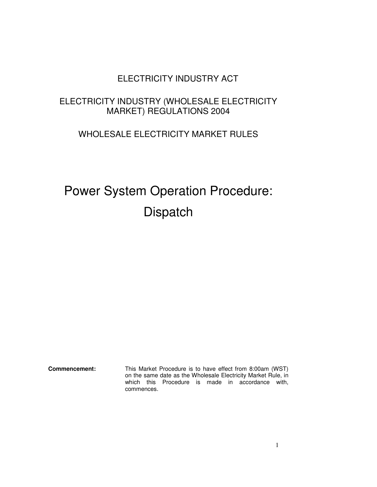# ELECTRICITY INDUSTRY ACT

# ELECTRICITY INDUSTRY (WHOLESALE ELECTRICITY MARKET) REGULATIONS 2004

# WHOLESALE ELECTRICITY MARKET RULES

# Power System Operation Procedure: **Dispatch**

**Commencement:** This Market Procedure is to have effect from 8:00am (WST) on the same date as the Wholesale Electricity Market Rule, in which this Procedure is made in accordance with, commences.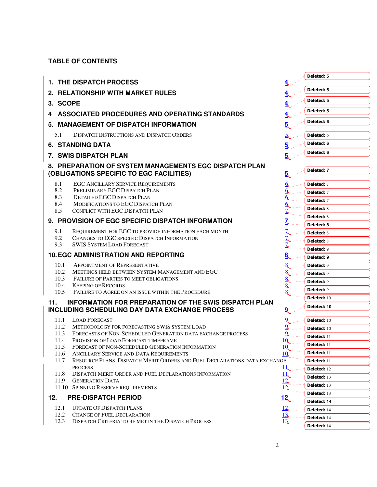# **TABLE OF CONTENTS**

|                                                                                                                     |                              | Deleted: 5                      |
|---------------------------------------------------------------------------------------------------------------------|------------------------------|---------------------------------|
| 1. THE DISPATCH PROCESS                                                                                             |                              |                                 |
| 2. RELATIONSHIP WITH MARKET RULES                                                                                   |                              | Deleted: 5                      |
| 3. SCOPE                                                                                                            |                              | Deleted: 5                      |
| ASSOCIATED PROCEDURES AND OPERATING STANDARDS<br>4                                                                  |                              | Deleted: 5                      |
| 5. MANAGEMENT OF DISPATCH INFORMATION                                                                               | 5.                           | Deleted: 6                      |
| 5.1<br><b>DISPATCH INSTRUCTIONS AND DISPATCH ORDERS</b>                                                             |                              |                                 |
|                                                                                                                     |                              | <b>Deleted: 6</b><br>Deleted: 6 |
| <b>6. STANDING DATA</b>                                                                                             |                              |                                 |
| <b>7. SWIS DISPATCH PLAN</b>                                                                                        | $\overline{5}$               | Deleted: 6                      |
| 8. PREPARATION OF SYSTEM MANAGEMENTS EGC DISPATCH PLAN                                                              |                              |                                 |
| (OBLIGATIONS SPECIFIC TO EGC FACILITIES)                                                                            | 5,                           | Deleted: 7                      |
| 8.1<br><b>EGC ANCILLARY SERVICE REQUIREMENTS</b>                                                                    |                              | Deleted: 7                      |
| 8.2<br>PRELIMINARY EGC DISPATCH PLAN                                                                                |                              | Deleted: 7                      |
| 8.3<br><b>DETAILED EGC DISPATCH PLAN</b>                                                                            | <u>o</u>                     | Deleted: 7                      |
| MODIFICATIONS TO EGC DISPATCH PLAN<br>8.4<br>8.5<br>CONFLICT WITH EGC DISPATCH PLAN                                 | 9,<br>7,                     | <b>Deleted: 8</b>               |
|                                                                                                                     |                              | <b>Deleted: 8</b>               |
| 9. PROVISION OF EGC SPECIFIC DISPATCH INFORMATION                                                                   |                              | Deleted: 8                      |
| 9.1<br>REQUIREMENT FOR EGC TO PROVIDE INFORMATION EACH MONTH                                                        | $\frac{7}{4}$                | <b>Deleted: 8</b>               |
| 9.2<br>CHANGES TO EGC SPECIFIC DISPATCH INFORMATION<br>9.3<br><b>SWIS SYSTEM LOAD FORECAST</b>                      | ┶<br>$Z_{\bullet}$           | <b>Deleted: 8</b>               |
|                                                                                                                     |                              | Deleted: 9                      |
| <b>10. EGC ADMINISTRATION AND REPORTING</b>                                                                         | 8.                           | Deleted: 9                      |
| 10.1<br><b>APPOINTMENT OF REPRESENTATIVE</b>                                                                        |                              | <b>Deleted: 9</b>               |
| 10.2<br>MEETINGS HELD BETWEEN SYSTEM MANAGEMENT AND EGC<br>10.3<br>FAILURE OF PARTIES TO MEET OBLIGATIONS           |                              | <b>Deleted: 9</b>               |
| 10.4<br><b>KEEPING OF RECORDS</b>                                                                                   |                              | <b>Deleted: 9</b>               |
| 10.5<br>FAILURE TO AGREE ON AN ISSUE WITHIN THE PROCEDURE                                                           |                              | <b>Deleted: 9</b>               |
| INFORMATION FOR PREPARATION OF THE SWIS DISPATCH PLAN<br>11.                                                        |                              | Deleted: 10                     |
| <b>INCLUDING SCHEDULING DAY DATA EXCHANGE PROCESS</b>                                                               | $\overline{a}$               | Deleted: 10                     |
| <b>LOAD FORECAST</b><br>11.1                                                                                        |                              | Deleted: 10                     |
| 11.2<br>METHODOLOGY FOR FORECASTING SWIS SYSTEM LOAD                                                                |                              | Deleted: 10                     |
| 11.3<br>FORECASTS OF NON-SCHEDULED GENERATION DATA EXCHANGE PROCESS<br>11.4<br>PROVISION OF LOAD FORECAST TIMEFRAME |                              | Deleted: 11                     |
| 11.5<br>FORECAST OF NON-SCHEDULED GENERATION INFORMATION                                                            | 10<br>10                     | Deleted: 11                     |
| ANCILLARY SERVICE AND DATA REQUIREMENTS<br>11.6                                                                     | 10                           | Deleted: 11                     |
| RESOURCE PLANS, DISPATCH MERIT ORDERS AND FUEL DECLARATIONS DATA EXCHANGE<br>11.7                                   |                              | Deleted: 11                     |
| <b>PROCESS</b>                                                                                                      | $\frac{11}{1}$               | Deleted: 12                     |
| DISPATCH MERIT ORDER AND FUEL DECLARATIONS INFORMATION<br>11.8<br>11.9<br><b>GENERATION DATA</b>                    | $\frac{11}{12}$              | Deleted: 13                     |
| 11.10 SPINNING RESERVE REQUIREMENTS                                                                                 | $\frac{12}{ }$               | Deleted: 13                     |
| 12.<br><b>PRE-DISPATCH PERIOD</b>                                                                                   | <u> 12,</u>                  | Deleted: 13                     |
|                                                                                                                     |                              | Deleted: 14                     |
| <b>UPDATE OF DISPATCH PLANS</b><br>12.1<br>12.2<br><b>CHANGE OF FUEL DECLARATION</b>                                | $\frac{12}{ }$<br><u>13,</u> | Deleted: 14                     |
| 12.3<br>DISPATCH CRITERIA TO BE MET IN THE DISPATCH PROCESS                                                         | $\frac{13}{2}$               | Deleted: 14                     |
|                                                                                                                     |                              | Deleted: 14                     |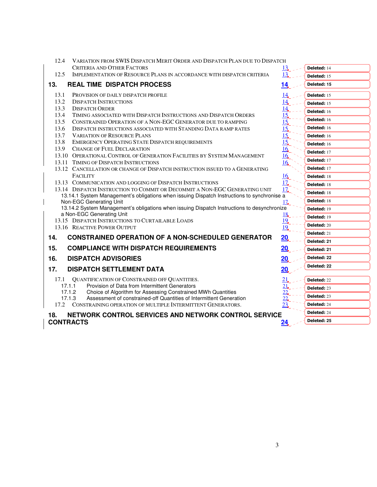| 12.4<br>VARIATION FROM SWIS DISPATCH MERIT ORDER AND DISPATCH PLAN DUE TO DISPATCH                                       |                      |                    |
|--------------------------------------------------------------------------------------------------------------------------|----------------------|--------------------|
| <b>CRITERIA AND OTHER FACTORS</b>                                                                                        | 13                   | Deleted: 14        |
| IMPLEMENTATION OF RESOURCE PLANS IN ACCORDANCE WITH DISPATCH CRITERIA<br>12.5                                            | 13                   | Deleted: 15        |
| 13.<br><b>REAL TIME DISPATCH PROCESS</b>                                                                                 | 14                   | Deleted: 15        |
| 13.1<br>PROVISION OF DAILY DISPATCH PROFILE                                                                              |                      | Deleted: 15        |
| 13.2<br><b>DISPATCH INSTRUCTIONS</b>                                                                                     | $\frac{14}{1}$       | <b>Deleted: 15</b> |
| 13.3<br><b>DISPATCH ORDER</b>                                                                                            | $\frac{14}{1}$       | Deleted: 16        |
| 13.4<br>TIMING ASSOCIATED WITH DISPATCH INSTRUCTIONS AND DISPATCH ORDERS                                                 | $\overline{15}$      | Deleted: 16        |
| 13.5<br>CONSTRAINED OPERATION OF A NON-EGC GENERATOR DUE TO RAMPING                                                      | 15                   | Deleted: 16        |
| 13.6<br>DISPATCH INSTRUCTIONS ASSOCIATED WITH STANDING DATA RAMP RATES<br>13.7<br><b>VARIATION OF RESOURCE PLANS</b>     | 15<br>15             |                    |
| 13.8<br>EMERGENCY OPERATING STATE DISPATCH REQUIREMENTS                                                                  | 15                   | Deleted: 16        |
| 13.9 CHANGE OF FUEL DECLARATION                                                                                          | $\frac{16}{1}$       | Deleted: 16        |
| 13.10 OPERATIONAL CONTROL OF GENERATION FACILITIES BY SYSTEM MANAGEMENT                                                  | 16                   | Deleted: 17        |
| 13.11 TIMING OF DISPATCH INSTRUCTIONS                                                                                    | $\frac{16}{1}$       | Deleted: 17        |
| 13.12 CANCELLATION OR CHANGE OF DISPATCH INSTRUCTION ISSUED TO A GENERATING                                              |                      | Deleted: 17        |
| <b>FACILITY</b>                                                                                                          | 16                   | Deleted: 18        |
| 13.13 COMMUNICATION AND LOGGING OF DISPATCH INSTRUCTIONS                                                                 | 17 <sub>•</sub>      | Deleted: 18        |
| 13.14 DISPATCH INSTRUCTION TO COMMIT OR DECOMMIT A NON-EGC GENERATING UNIT                                               | $\overline{17}$      | Deleted: 18        |
| 13.14.1 System Management's obligations when issuing Dispatch Instructions to synchronise a                              |                      |                    |
| Non-EGC Generating Unit                                                                                                  | 17 <sub>•</sub>      | <b>Deleted: 18</b> |
| 13.14.2 System Management's obligations when issuing Dispatch Instructions to desynchronize<br>a Non-EGC Generating Unit |                      | Deleted: 19        |
| 13.15 DISPATCH INSTRUCTIONS TO CURTAILABLE LOADS                                                                         | 18<br>$\frac{19}{4}$ | Deleted: 19        |
| 13.16 REACTIVE POWER OUTPUT                                                                                              | 19                   | Deleted: 20        |
|                                                                                                                          |                      | Deleted: 21        |
| <b>CONSTRAINED OPERATION OF A NON-SCHEDULED GENERATOR</b><br>14.                                                         | 20                   | Deleted: 21        |
| <b>COMPLIANCE WITH DISPATCH REQUIREMENTS</b><br>15.                                                                      | 20                   | Deleted: 21        |
| 16.<br><b>DISPATCH ADVISORIES</b>                                                                                        | 20.                  | Deleted: 22        |
| 17.<br><b>DISPATCH SETTLEMENT DATA</b>                                                                                   | 20                   | Deleted: 22        |
| 17.1 QUANTIFICATION OF CONSTRAINED OFF QUANTITIES.                                                                       | 21                   | Deleted: 22        |
| Provision of Data from Intermittent Generators<br>17.1.1                                                                 | 21                   |                    |
| 17.1.2<br>Choice of Algorithm for Assessing Constrained MWh Quantities                                                   | 22                   | Deleted: 23        |
| Assessment of constrained-off Quantities of Intermittent Generation<br>17.1.3                                            | $\frac{22}{3}$       | <b>Deleted: 23</b> |
| CONSTRAINING OPERATION OF MULTIPLE INTERMITTENT GENERATORS.<br>17.2                                                      | 23                   | Deleted: 24        |
| NETWORK CONTROL SERVICES AND NETWORK CONTROL SERVICE<br>18.                                                              |                      | Deleted: 24        |
| <b>CONTRACTS</b>                                                                                                         |                      | Deleted: 25        |
|                                                                                                                          |                      |                    |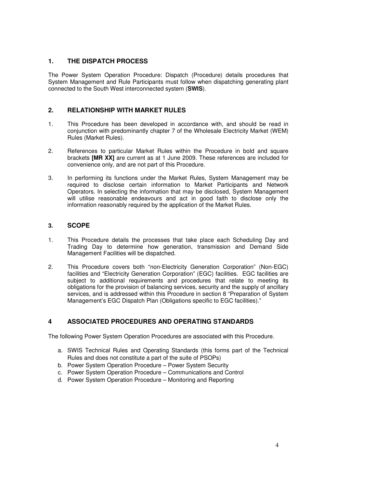# **1. THE DISPATCH PROCESS**

The Power System Operation Procedure: Dispatch (Procedure) details procedures that System Management and Rule Participants must follow when dispatching generating plant connected to the South West interconnected system (**SWIS**).

# **2. RELATIONSHIP WITH MARKET RULES**

- 1. This Procedure has been developed in accordance with, and should be read in conjunction with predominantly chapter 7 of the Wholesale Electricity Market (WEM) Rules (Market Rules).
- 2. References to particular Market Rules within the Procedure in bold and square brackets **[MR XX]** are current as at 1 June 2009. These references are included for convenience only, and are not part of this Procedure.
- 3. In performing its functions under the Market Rules, System Management may be required to disclose certain information to Market Participants and Network Operators. In selecting the information that may be disclosed, System Management will utilise reasonable endeavours and act in good faith to disclose only the information reasonably required by the application of the Market Rules.

# **3. SCOPE**

- 1. This Procedure details the processes that take place each Scheduling Day and Trading Day to determine how generation, transmission and Demand Side Management Facilities will be dispatched.
- 2. This Procedure covers both "non-Electricity Generation Corporation" (Non-EGC) facilities and "Electricity Generation Corporation" (EGC) facilities. EGC facilities are subject to additional requirements and procedures that relate to meeting its obligations for the provision of balancing services, security and the supply of ancillary services, and is addressed within this Procedure in section 8 "Preparation of System Management's EGC Dispatch Plan (Obligations specific to EGC facilities)."

# **4 ASSOCIATED PROCEDURES AND OPERATING STANDARDS**

The following Power System Operation Procedures are associated with this Procedure.

- a. SWIS Technical Rules and Operating Standards (this forms part of the Technical Rules and does not constitute a part of the suite of PSOPs)
- b. Power System Operation Procedure Power System Security
- c. Power System Operation Procedure Communications and Control
- d. Power System Operation Procedure Monitoring and Reporting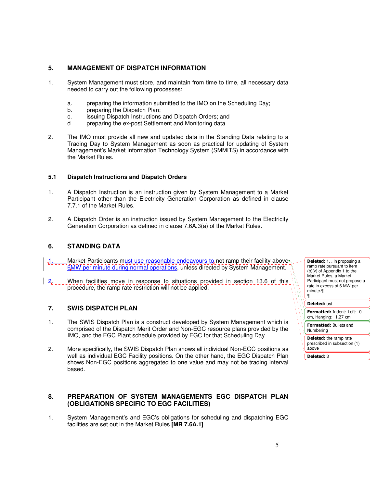# **5. MANAGEMENT OF DISPATCH INFORMATION**

- 1. System Management must store, and maintain from time to time, all necessary data needed to carry out the following processes:
	- a. preparing the information submitted to the IMO on the Scheduling Day;
	- b. preparing the Dispatch Plan;
	- c. issuing Dispatch Instructions and Dispatch Orders; and
	- d. preparing the ex-post Settlement and Monitoring data.
- 2. The IMO must provide all new and updated data in the Standing Data relating to a Trading Day to System Management as soon as practical for updating of System Management's Market Information Technology System (SMMITS) in accordance with the Market Rules.

#### **5.1 Dispatch Instructions and Dispatch Orders**

- 1. A Dispatch Instruction is an instruction given by System Management to a Market Participant other than the Electricity Generation Corporation as defined in clause 7.7.1 of the Market Rules.
- 2. A Dispatch Order is an instruction issued by System Management to the Electricity Generation Corporation as defined in clause 7.6A.3(a) of the Market Rules.

#### **6. STANDING DATA**

- Market Participants must use reasonable endeavours to not ramp their facility above 6MW per minute during normal operations, unless directed by System Management.
- 2. When facilities move in response to situations provided in section 13.6 of this procedure, the ramp rate restriction will not be applied.

#### **7. SWIS DISPATCH PLAN**

- 1. The SWIS Dispatch Plan is a construct developed by System Management which is comprised of the Dispatch Merit Order and Non-EGC resource plans provided by the IMO, and the EGC Plant schedule provided by EGC for that Scheduling Day.
- 2. More specifically, the SWIS Dispatch Plan shows all individual Non-EGC positions as well as individual EGC Facility positions. On the other hand, the EGC Dispatch Plan shows Non-EGC positions aggregated to one value and may not be trading interval based.

#### **8. PREPARATION OF SYSTEM MANAGEMENTS EGC DISPATCH PLAN (OBLIGATIONS SPECIFIC TO EGC FACILITIES)**

1. System Management's and EGC's obligations for scheduling and dispatching EGC facilities are set out in the Market Rules **[MR 7.6A.1]** 

Deleted: 1. . In proposing a ramp rate pursuant to item (b)(v) of Appendix 1 to the Market Rules, a Market Participant must not propose a rate in excess of 6 MW per minute.¶ ¶

Deleted: ust

Formatted: Indent: Left: 0 cm, Hanging: 1.27 cm

Formatted: Bullets and Numbering

Deleted: the ramp rate prescribed in subsection (1) above

Deleted: 3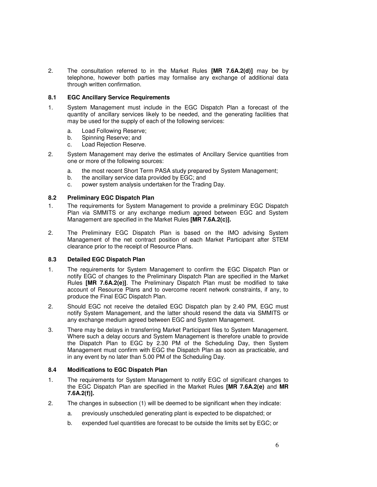2. The consultation referred to in the Market Rules **[MR 7.6A.2(d)]** may be by telephone, however both parties may formalise any exchange of additional data through written confirmation.

#### **8.1 EGC Ancillary Service Requirements**

- 1. System Management must include in the EGC Dispatch Plan a forecast of the quantity of ancillary services likely to be needed, and the generating facilities that may be used for the supply of each of the following services:
	- a. Load Following Reserve;
	- b. Spinning Reserve; and
	- c. Load Rejection Reserve.
- 2. System Management may derive the estimates of Ancillary Service quantities from one or more of the following sources:
	- a. the most recent Short Term PASA study prepared by System Management;
	- b. the ancillary service data provided by EGC; and
	- c. power system analysis undertaken for the Trading Day.

#### **8.2 Preliminary EGC Dispatch Plan**

- 1. The requirements for System Management to provide a preliminary EGC Dispatch Plan via SMMITS or any exchange medium agreed between EGC and System Management are specified in the Market Rules **[MR 7.6A.2(c)].**
- 2. The Preliminary EGC Dispatch Plan is based on the IMO advising System Management of the net contract position of each Market Participant after STEM clearance prior to the receipt of Resource Plans.

#### **8.3 Detailed EGC Dispatch Plan**

- 1. The requirements for System Management to confirm the EGC Dispatch Plan or notify EGC of changes to the Preliminary Dispatch Plan are specified in the Market Rules **[MR 7.6A.2(e)]**. The Preliminary Dispatch Plan must be modified to take account of Resource Plans and to overcome recent network constraints, if any, to produce the Final EGC Dispatch Plan.
- 2. Should EGC not receive the detailed EGC Dispatch plan by 2.40 PM, EGC must notify System Management, and the latter should resend the data via SMMITS or any exchange medium agreed between EGC and System Management.
- 3. There may be delays in transferring Market Participant files to System Management. Where such a delay occurs and System Management is therefore unable to provide the Dispatch Plan to EGC by 2.30 PM of the Scheduling Day, then System Management must confirm with EGC the Dispatch Plan as soon as practicable, and in any event by no later than 5.00 PM of the Scheduling Day.

#### **8.4 Modifications to EGC Dispatch Plan**

- 1. The requirements for System Management to notify EGC of significant changes to the EGC Dispatch Plan are specified in the Market Rules **[MR 7.6A.2(e)** and **MR 7.6A.2(f)].**
- 2. The changes in subsection (1) will be deemed to be significant when they indicate:
	- a. previously unscheduled generating plant is expected to be dispatched; or
	- b. expended fuel quantities are forecast to be outside the limits set by EGC; or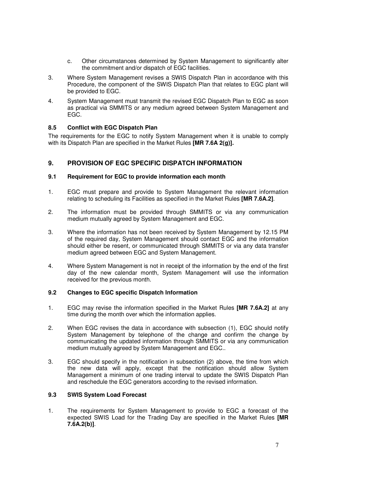- c. Other circumstances determined by System Management to significantly alter the commitment and/or dispatch of EGC facilities.
- 3. Where System Management revises a SWIS Dispatch Plan in accordance with this Procedure, the component of the SWIS Dispatch Plan that relates to EGC plant will be provided to EGC.
- 4. System Management must transmit the revised EGC Dispatch Plan to EGC as soon as practical via SMMITS or any medium agreed between System Management and EGC.

#### **8.5 Conflict with EGC Dispatch Plan**

The requirements for the EGC to notify System Management when it is unable to comply with its Dispatch Plan are specified in the Market Rules **[MR 7.6A 2(g)].**

#### **9. PROVISION OF EGC SPECIFIC DISPATCH INFORMATION**

#### **9.1 Requirement for EGC to provide information each month**

- 1. EGC must prepare and provide to System Management the relevant information relating to scheduling its Facilities as specified in the Market Rules **[MR 7.6A.2]**.
- 2. The information must be provided through SMMITS or via any communication medium mutually agreed by System Management and EGC.
- 3. Where the information has not been received by System Management by 12.15 PM of the required day, System Management should contact EGC and the information should either be resent, or communicated through SMMITS or via any data transfer medium agreed between EGC and System Management.
- 4. Where System Management is not in receipt of the information by the end of the first day of the new calendar month, System Management will use the information received for the previous month.

#### **9.2 Changes to EGC specific Dispatch Information**

- 1. EGC may revise the information specified in the Market Rules **[MR 7.6A.2]** at any time during the month over which the information applies.
- 2. When EGC revises the data in accordance with subsection (1), EGC should notify System Management by telephone of the change and confirm the change by communicating the updated information through SMMITS or via any communication medium mutually agreed by System Management and EGC..
- 3. EGC should specify in the notification in subsection (2) above, the time from which the new data will apply, except that the notification should allow System Management a minimum of one trading interval to update the SWIS Dispatch Plan and reschedule the EGC generators according to the revised information.

#### **9.3 SWIS System Load Forecast**

1. The requirements for System Management to provide to EGC a forecast of the expected SWIS Load for the Trading Day are specified in the Market Rules **[MR 7.6A.2(b)]**.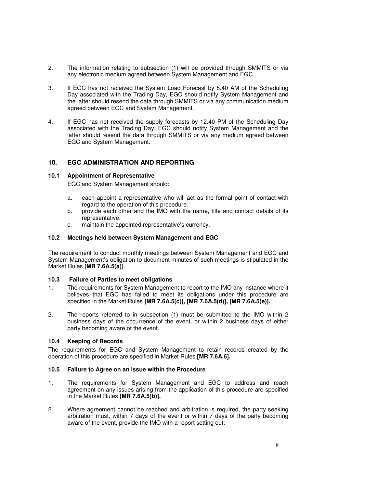- 2. The information relating to subsection (1) will be provided through SMMITS or via any electronic medium agreed between System Management and EGC.
- 3. If EGC has not received the System Load Forecast by 8.40 AM of the Scheduling Day associated with the Trading Day, EGC should notify System Management and the latter should resend the data through SMMITS or via any communication medium agreed between EGC and System Management.
- 4. If EGC has not received the supply forecasts by 12.40 PM of the Scheduling Day associated with the Trading Day, EGC should notify System Management and the latter should resend the data through SMMITS or via any medium agreed between EGC and System Management.

# **10. EGC ADMINISTRATION AND REPORTING**

#### **10.1 Appointment of Representative**

EGC and System Management should:

- a. each appoint a representative who will act as the formal point of contact with regard to the operation of this procedure.
- b. provide each other and the IMO with the name, title and contact details of its representative.
- c. maintain the appointed representative's currency.

#### **10.2 Meetings held between System Management and EGC**

The requirement to conduct monthly meetings between System Management and EGC and System Management's obligation to document minutes of such meetings is stipulated in the Market Rules **[MR 7.6A.5(a)]**.

#### **10.3 Failure of Parties to meet obligations**

- 1. The requirements for System Management to report to the IMO any instance where it believes that EGC has failed to meet its obligations under this procedure are specified in the Market Rules **[MR 7.6A.5(c)], [MR 7.6A.5(d)], [MR 7.6A.5(e)].**
- 2. The reports referred to in subsection (1) must be submitted to the IMO within 2 business days of the occurrence of the event, or within 2 business days of either party becoming aware of the event.

#### **10.4 Keeping of Records**

The requirements for EGC and System Management to retain records created by the operation of this procedure are specified in Market Rules **[MR 7.6A.6].**

#### **10.5 Failure to Agree on an issue within the Procedure**

- 1. The requirements for System Management and EGC to address and reach agreement on any issues arising from the application of this procedure are specified in the Market Rules **[MR 7.6A.5(b)].**
- 2. Where agreement cannot be reached and arbitration is required, the party seeking arbitration must, within 7 days of the event or within 7 days of the party becoming aware of the event, provide the IMO with a report setting out: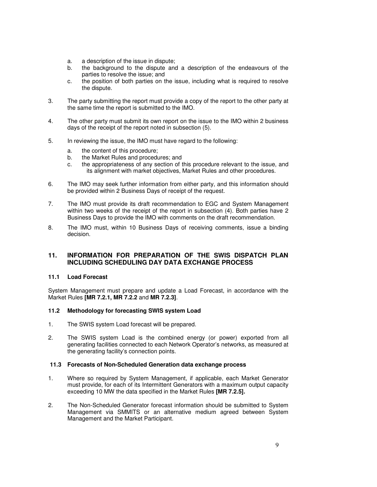- a. a description of the issue in dispute;
- b. the background to the dispute and a description of the endeavours of the parties to resolve the issue; and
- c. the position of both parties on the issue, including what is required to resolve the dispute.
- 3. The party submitting the report must provide a copy of the report to the other party at the same time the report is submitted to the IMO.
- 4. The other party must submit its own report on the issue to the IMO within 2 business days of the receipt of the report noted in subsection (5).
- 5. In reviewing the issue, the IMO must have regard to the following:
	- a. the content of this procedure;
	- b. the Market Rules and procedures; and
	- c. the appropriateness of any section of this procedure relevant to the issue, and its alignment with market objectives, Market Rules and other procedures.
- 6. The IMO may seek further information from either party, and this information should be provided within 2 Business Days of receipt of the request.
- 7. The IMO must provide its draft recommendation to EGC and System Management within two weeks of the receipt of the report in subsection (4). Both parties have 2 Business Days to provide the IMO with comments on the draft recommendation.
- 8. The IMO must, within 10 Business Days of receiving comments, issue a binding decision.

# **11. INFORMATION FOR PREPARATION OF THE SWIS DISPATCH PLAN INCLUDING SCHEDULING DAY DATA EXCHANGE PROCESS**

#### **11.1 Load Forecast**

System Management must prepare and update a Load Forecast, in accordance with the Market Rules **[MR 7.2.1, MR 7.2.2** and **MR 7.2.3]**.

#### **11.2 Methodology for forecasting SWIS system Load**

- 1. The SWIS system Load forecast will be prepared.
- 2. The SWIS system Load is the combined energy (or power) exported from all generating facilities connected to each Network Operator's networks, as measured at the generating facility's connection points.

#### **11.3 Forecasts of Non-Scheduled Generation data exchange process**

- 1. Where so required by System Management, if applicable, each Market Generator must provide, for each of its Intermittent Generators with a maximum output capacity exceeding 10 MW the data specified in the Market Rules **[MR 7.2.5].**
- 2. The Non-Scheduled Generator forecast information should be submitted to System Management via SMMITS or an alternative medium agreed between System Management and the Market Participant.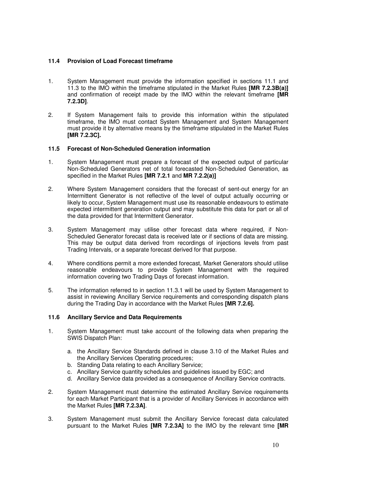#### **11.4 Provision of Load Forecast timeframe**

- 1. System Management must provide the information specified in sections 11.1 and 11.3 to the IMO within the timeframe stipulated in the Market Rules **[MR 7.2.3B(a)]**  and confirmation of receipt made by the IMO within the relevant timeframe **[MR 7.2.3D]**.
- 2. If System Management fails to provide this information within the stipulated timeframe, the IMO must contact System Management and System Management must provide it by alternative means by the timeframe stipulated in the Market Rules **[MR 7.2.3C].**

#### **11.5 Forecast of Non-Scheduled Generation information**

- 1. System Management must prepare a forecast of the expected output of particular Non-Scheduled Generators net of total forecasted Non-Scheduled Generation, as specified in the Market Rules **[MR 7.2.1** and **MR 7.2.2(a)]**
- 2. Where System Management considers that the forecast of sent-out energy for an Intermittent Generator is not reflective of the level of output actually occurring or likely to occur, System Management must use its reasonable endeavours to estimate expected intermittent generation output and may substitute this data for part or all of the data provided for that Intermittent Generator.
- 3. System Management may utilise other forecast data where required, if Non-Scheduled Generator forecast data is received late or if sections of data are missing. This may be output data derived from recordings of injections levels from past Trading Intervals, or a separate forecast derived for that purpose.
- 4. Where conditions permit a more extended forecast, Market Generators should utilise reasonable endeavours to provide System Management with the required information covering two Trading Days of forecast information.
- 5. The information referred to in section 11.3.1 will be used by System Management to assist in reviewing Ancillary Service requirements and corresponding dispatch plans during the Trading Day in accordance with the Market Rules **[MR 7.2.6].**

#### **11.6 Ancillary Service and Data Requirements**

- 1. System Management must take account of the following data when preparing the SWIS Dispatch Plan:
	- a. the Ancillary Service Standards defined in clause 3.10 of the Market Rules and the Ancillary Services Operating procedures;
	- b. Standing Data relating to each Ancillary Service;
	- c. Ancillary Service quantity schedules and guidelines issued by EGC; and
	- d. Ancillary Service data provided as a consequence of Ancillary Service contracts.
- 2. System Management must determine the estimated Ancillary Service requirements for each Market Participant that is a provider of Ancillary Services in accordance with the Market Rules **[MR 7.2.3A]**.
- 3. System Management must submit the Ancillary Service forecast data calculated pursuant to the Market Rules **[MR 7.2.3A]** to the IMO by the relevant time **[MR**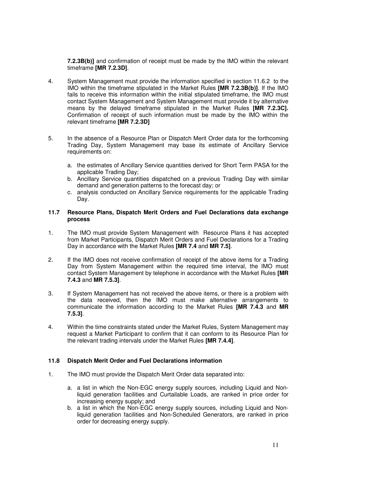**7.2.3B(b)]** and confirmation of receipt must be made by the IMO within the relevant timeframe **[MR 7.2.3D]**.

- 4. System Management must provide the information specified in section 11.6.2 to the IMO within the timeframe stipulated in the Market Rules **[MR 7.2.3B(b)]**. If the IMO fails to receive this information within the initial stipulated timeframe, the IMO must contact System Management and System Management must provide it by alternative means by the delayed timeframe stipulated in the Market Rules **[MR 7.2.3C].** Confirmation of receipt of such information must be made by the IMO within the relevant timeframe **[MR 7.2.3D]**
- 5. In the absence of a Resource Plan or Dispatch Merit Order data for the forthcoming Trading Day, System Management may base its estimate of Ancillary Service requirements on:
	- a. the estimates of Ancillary Service quantities derived for Short Term PASA for the applicable Trading Day;
	- b. Ancillary Service quantities dispatched on a previous Trading Day with similar demand and generation patterns to the forecast day; or
	- c. analysis conducted on Ancillary Service requirements for the applicable Trading Day.

#### **11.7 Resource Plans, Dispatch Merit Orders and Fuel Declarations data exchange process**

- 1. The IMO must provide System Management with Resource Plans it has accepted from Market Participants, Dispatch Merit Orders and Fuel Declarations for a Trading Day in accordance with the Market Rules **[MR 7.4** and **MR 7.5]**.
- 2. If the IMO does not receive confirmation of receipt of the above items for a Trading Day from System Management within the required time interval, the IMO must contact System Management by telephone in accordance with the Market Rules **[MR 7.4.3** and **MR 7.5.3]**.
- 3. If System Management has not received the above items, or there is a problem with the data received, then the IMO must make alternative arrangements to communicate the information according to the Market Rules **[MR 7.4.3** and **MR 7.5.3]**.
- 4. Within the time constraints stated under the Market Rules, System Management may request a Market Participant to confirm that it can conform to its Resource Plan for the relevant trading intervals under the Market Rules **[MR 7.4.4]**.

#### **11.8 Dispatch Merit Order and Fuel Declarations information**

- 1. The IMO must provide the Dispatch Merit Order data separated into:
	- a. a list in which the Non-EGC energy supply sources, including Liquid and Nonliquid generation facilities and Curtailable Loads, are ranked in price order for increasing energy supply; and
	- b. a list in which the Non-EGC energy supply sources, including Liquid and Nonliquid generation facilities and Non-Scheduled Generators, are ranked in price order for decreasing energy supply.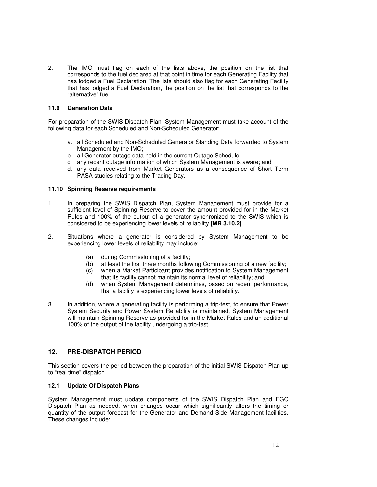2. The IMO must flag on each of the lists above, the position on the list that corresponds to the fuel declared at that point in time for each Generating Facility that has lodged a Fuel Declaration. The lists should also flag for each Generating Facility that has lodged a Fuel Declaration, the position on the list that corresponds to the "alternative" fuel.

#### **11.9 Generation Data**

For preparation of the SWIS Dispatch Plan, System Management must take account of the following data for each Scheduled and Non-Scheduled Generator:

- a. all Scheduled and Non-Scheduled Generator Standing Data forwarded to System Management by the IMO;
- b. all Generator outage data held in the current Outage Schedule;
- c. any recent outage information of which System Management is aware; and
- d. any data received from Market Generators as a consequence of Short Term PASA studies relating to the Trading Day.

#### **11.10 Spinning Reserve requirements**

- 1. In preparing the SWIS Dispatch Plan, System Management must provide for a sufficient level of Spinning Reserve to cover the amount provided for in the Market Rules and 100% of the output of a generator synchronized to the SWIS which is considered to be experiencing lower levels of reliability **[MR 3.10.2]**.
- 2. Situations where a generator is considered by System Management to be experiencing lower levels of reliability may include:
	- (a) during Commissioning of a facility;
	- (b) at least the first three months following Commissioning of a new facility;
	- (c) when a Market Participant provides notification to System Management that its facility cannot maintain its normal level of reliability; and
	- (d) when System Management determines, based on recent performance, that a facility is experiencing lower levels of reliability.
- 3. In addition, where a generating facility is performing a trip-test, to ensure that Power System Security and Power System Reliability is maintained, System Management will maintain Spinning Reserve as provided for in the Market Rules and an additional 100% of the output of the facility undergoing a trip-test.

# **12. PRE-DISPATCH PERIOD**

This section covers the period between the preparation of the initial SWIS Dispatch Plan up to "real time" dispatch.

#### **12.1 Update Of Dispatch Plans**

System Management must update components of the SWIS Dispatch Plan and EGC Dispatch Plan as needed, when changes occur which significantly alters the timing or quantity of the output forecast for the Generator and Demand Side Management facilities. These changes include: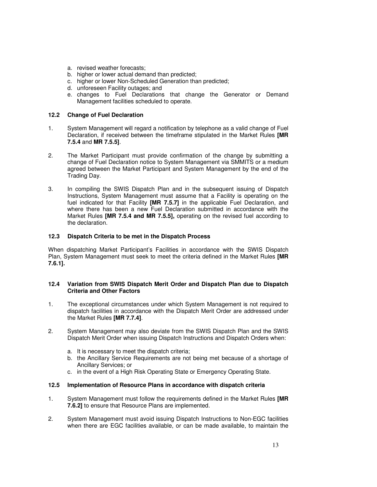- a. revised weather forecasts;
- b. higher or lower actual demand than predicted;
- c. higher or lower Non-Scheduled Generation than predicted;
- d. unforeseen Facility outages; and
- e. changes to Fuel Declarations that change the Generator or Demand Management facilities scheduled to operate.

#### **12.2 Change of Fuel Declaration**

- 1. System Management will regard a notification by telephone as a valid change of Fuel Declaration, if received between the timeframe stipulated in the Market Rules **[MR 7.5.4** and **MR 7.5.5]**.
- 2. The Market Participant must provide confirmation of the change by submitting a change of Fuel Declaration notice to System Management via SMMITS or a medium agreed between the Market Participant and System Management by the end of the Trading Day.
- 3. In compiling the SWIS Dispatch Plan and in the subsequent issuing of Dispatch Instructions, System Management must assume that a Facility is operating on the fuel indicated for that Facility **[MR 7.5.7]** in the applicable Fuel Declaration, and where there has been a new Fuel Declaration submitted in accordance with the Market Rules **[MR 7.5.4 and MR 7.5.5],** operating on the revised fuel according to the declaration.

#### **12.3 Dispatch Criteria to be met in the Dispatch Process**

When dispatching Market Participant's Facilities in accordance with the SWIS Dispatch Plan, System Management must seek to meet the criteria defined in the Market Rules **[MR 7.6.1].**

#### **12.4 Variation from SWIS Dispatch Merit Order and Dispatch Plan due to Dispatch Criteria and Other Factors**

- 1. The exceptional circumstances under which System Management is not required to dispatch facilities in accordance with the Dispatch Merit Order are addressed under the Market Rules **[MR 7.7.4]**.
- 2. System Management may also deviate from the SWIS Dispatch Plan and the SWIS Dispatch Merit Order when issuing Dispatch Instructions and Dispatch Orders when:
	- a. It is necessary to meet the dispatch criteria;
	- b. the Ancillary Service Requirements are not being met because of a shortage of Ancillary Services; or
	- c. in the event of a High Risk Operating State or Emergency Operating State.

#### **12.5 Implementation of Resource Plans in accordance with dispatch criteria**

- 1. System Management must follow the requirements defined in the Market Rules **[MR 7.6.2]** to ensure that Resource Plans are implemented.
- 2. System Management must avoid issuing Dispatch Instructions to Non-EGC facilities when there are EGC facilities available, or can be made available, to maintain the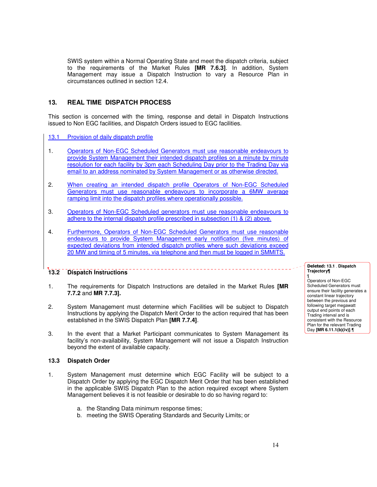SWIS system within a Normal Operating State and meet the dispatch criteria, subject to the requirements of the Market Rules **[MR 7.6.3]**. In addition, System Management may issue a Dispatch Instruction to vary a Resource Plan in circumstances outlined in section 12.4.

# **13. REAL TIME DISPATCH PROCESS**

This section is concerned with the timing, response and detail in Dispatch Instructions issued to Non EGC facilities, and Dispatch Orders issued to EGC facilities.

13.1 Provision of daily dispatch profile

- 1. Operators of Non-EGC Scheduled Generators must use reasonable endeavours to provide System Management their intended dispatch profiles on a minute by minute resolution for each facility by 3pm each Scheduling Day prior to the Trading Day via email to an address nominated by System Management or as otherwise directed.
- 2. When creating an intended dispatch profile Operators of Non-EGC Scheduled Generators must use reasonable endeavours to incorporate a 6MW average ramping limit into the dispatch profiles where operationally possible.
- 3. Operators of Non-EGC Scheduled generators must use reasonable endeavours to adhere to the internal dispatch profile prescribed in subsection (1) & (2) above.
- 4. Furthermore, Operators of Non-EGC Scheduled Generators must use reasonable endeavours to provide System Management early notification (five minutes) of expected deviations from intended dispatch profiles where such deviations exceed 20 MW and timing of 5 minutes, via telephone and then must be logged in SMMITS.

# **13.2 Dispatch Instructions**

- 1. The requirements for Dispatch Instructions are detailed in the Market Rules **[MR 7.7.2** and **MR 7.7.3].**
- 2. System Management must determine which Facilities will be subject to Dispatch Instructions by applying the Dispatch Merit Order to the action required that has been established in the SWIS Dispatch Plan **[MR 7.7.4]**.
- 3. In the event that a Market Participant communicates to System Management its facility's non-availability, System Management will not issue a Dispatch Instruction beyond the extent of available capacity.

#### **13.3 Dispatch Order**

- 1. System Management must determine which EGC Facility will be subject to a Dispatch Order by applying the EGC Dispatch Merit Order that has been established in the applicable SWIS Dispatch Plan to the action required except where System Management believes it is not feasible or desirable to do so having regard to:
	- a. the Standing Data minimum response times;
	- b. meeting the SWIS Operating Standards and Security Limits; or

#### Deleted: **13.1 Dispatch Trajectory¶** ¶

Operators of Non-EGC Scheduled Generators must ensure their facility generates a constant linear trajectory between the previous and following target megawatt output end points of each Trading interval and is consistent with the Resource Plan for the relevant Trading Day **[MR 6.11.1(b)(iv)]**.¶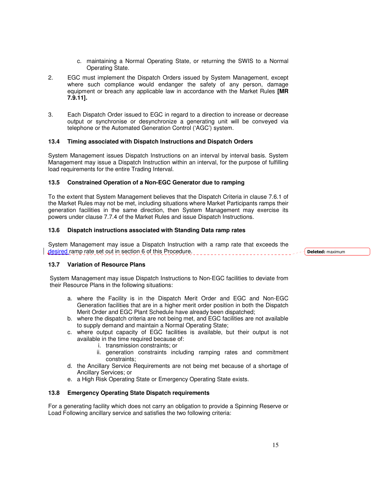- c. maintaining a Normal Operating State, or returning the SWIS to a Normal Operating State.
- 2. EGC must implement the Dispatch Orders issued by System Management, except where such compliance would endanger the safety of any person, damage equipment or breach any applicable law in accordance with the Market Rules **[MR 7.9.11].**
- 3. Each Dispatch Order issued to EGC in regard to a direction to increase or decrease output or synchronise or desynchronize a generating unit will be conveyed via telephone or the Automated Generation Control ('AGC') system.

#### **13.4 Timing associated with Dispatch Instructions and Dispatch Orders**

System Management issues Dispatch Instructions on an interval by interval basis. System Management may issue a Dispatch Instruction within an interval, for the purpose of fulfilling load requirements for the entire Trading Interval.

#### **13.5 Constrained Operation of a Non-EGC Generator due to ramping**

To the extent that System Management believes that the Dispatch Criteria in clause 7.6.1 of the Market Rules may not be met, including situations where Market Participants ramps their generation facilities in the same direction, then System Management may exercise its powers under clause 7.7.4 of the Market Rules and issue Dispatch Instructions.

#### **13.6 Dispatch instructions associated with Standing Data ramp rates**

System Management may issue a Dispatch Instruction with a ramp rate that exceeds the desired ramp rate set out in section 6 of this Procedure.

Deleted: maximum

#### **13.7 Variation of Resource Plans**

System Management may issue Dispatch Instructions to Non-EGC facilities to deviate from their Resource Plans in the following situations:

- a. where the Facility is in the Dispatch Merit Order and EGC and Non-EGC Generation facilities that are in a higher merit order position in both the Dispatch Merit Order and EGC Plant Schedule have already been dispatched;
- b. where the dispatch criteria are not being met, and EGC facilities are not available to supply demand and maintain a Normal Operating State;
- c. where output capacity of EGC facilities is available, but their output is not available in the time required because of:
	- i. transmission constraints; or
	- ii. generation constraints including ramping rates and commitment constraints;
- d. the Ancillary Service Requirements are not being met because of a shortage of Ancillary Services; or
- e. a High Risk Operating State or Emergency Operating State exists.

#### **13.8 Emergency Operating State Dispatch requirements**

For a generating facility which does not carry an obligation to provide a Spinning Reserve or Load Following ancillary service and satisfies the two following criteria: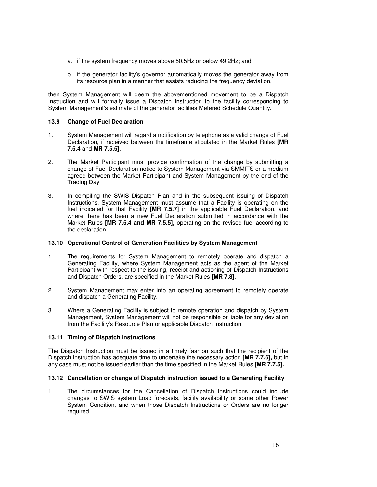- a. if the system frequency moves above 50.5Hz or below 49.2Hz; and
- b. if the generator facility's governor automatically moves the generator away from its resource plan in a manner that assists reducing the frequency deviation,

then System Management will deem the abovementioned movement to be a Dispatch Instruction and will formally issue a Dispatch Instruction to the facility corresponding to System Management's estimate of the generator facilities Metered Schedule Quantity.

#### **13.9 Change of Fuel Declaration**

- 1. System Management will regard a notification by telephone as a valid change of Fuel Declaration, if received between the timeframe stipulated in the Market Rules **[MR 7.5.4** and **MR 7.5.5]**.
- 2. The Market Participant must provide confirmation of the change by submitting a change of Fuel Declaration notice to System Management via SMMITS or a medium agreed between the Market Participant and System Management by the end of the Trading Day.
- 3. In compiling the SWIS Dispatch Plan and in the subsequent issuing of Dispatch Instructions, System Management must assume that a Facility is operating on the fuel indicated for that Facility **[MR 7.5.7]** in the applicable Fuel Declaration, and where there has been a new Fuel Declaration submitted in accordance with the Market Rules **[MR 7.5.4 and MR 7.5.5],** operating on the revised fuel according to the declaration.

#### **13.10 Operational Control of Generation Facilities by System Management**

- 1. The requirements for System Management to remotely operate and dispatch a Generating Facility, where System Management acts as the agent of the Market Participant with respect to the issuing, receipt and actioning of Dispatch Instructions and Dispatch Orders, are specified in the Market Rules **[MR 7.8]**.
- 2. System Management may enter into an operating agreement to remotely operate and dispatch a Generating Facility.
- 3. Where a Generating Facility is subject to remote operation and dispatch by System Management, System Management will not be responsible or liable for any deviation from the Facility's Resource Plan or applicable Dispatch Instruction.

#### **13.11 Timing of Dispatch Instructions**

The Dispatch Instruction must be issued in a timely fashion such that the recipient of the Dispatch Instruction has adequate time to undertake the necessary action **[MR 7.7.6],** but in any case must not be issued earlier than the time specified in the Market Rules **[MR 7.7.5].** 

#### **13.12 Cancellation or change of Dispatch instruction issued to a Generating Facility**

1. The circumstances for the Cancellation of Dispatch Instructions could include changes to SWIS system Load forecasts, facility availability or some other Power System Condition, and when those Dispatch Instructions or Orders are no longer required.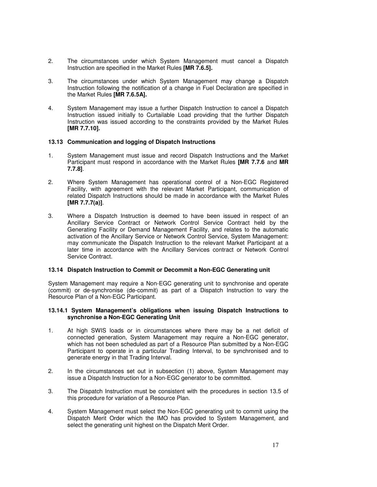- 2. The circumstances under which System Management must cancel a Dispatch Instruction are specified in the Market Rules **[MR 7.6.5].**
- 3. The circumstances under which System Management may change a Dispatch Instruction following the notification of a change in Fuel Declaration are specified in the Market Rules **[MR 7.6.5A].**
- 4. System Management may issue a further Dispatch Instruction to cancel a Dispatch Instruction issued initially to Curtailable Load providing that the further Dispatch Instruction was issued according to the constraints provided by the Market Rules **[MR 7.7.10].**

#### **13.13 Communication and logging of Dispatch Instructions**

- 1. System Management must issue and record Dispatch Instructions and the Market Participant must respond in accordance with the Market Rules **[MR 7.7.6** and **MR 7.7.8]**.
- 2. Where System Management has operational control of a Non-EGC Registered Facility, with agreement with the relevant Market Participant, communication of related Dispatch Instructions should be made in accordance with the Market Rules **[MR 7.7.7(a)]**.
- 3. Where a Dispatch Instruction is deemed to have been issued in respect of an Ancillary Service Contract or Network Control Service Contract held by the Generating Facility or Demand Management Facility, and relates to the automatic activation of the Ancillary Service or Network Control Service, System Management: may communicate the Dispatch Instruction to the relevant Market Participant at a later time in accordance with the Ancillary Services contract or Network Control Service Contract.

#### **13.14 Dispatch Instruction to Commit or Decommit a Non-EGC Generating unit**

System Management may require a Non-EGC generating unit to synchronise and operate (commit) or de-synchronise (de-commit) as part of a Dispatch Instruction to vary the Resource Plan of a Non-EGC Participant.

#### **13.14.1 System Management's obligations when issuing Dispatch Instructions to synchronise a Non-EGC Generating Unit**

- 1. At high SWIS loads or in circumstances where there may be a net deficit of connected generation, System Management may require a Non-EGC generator, which has not been scheduled as part of a Resource Plan submitted by a Non-EGC Participant to operate in a particular Trading Interval, to be synchronised and to generate energy in that Trading Interval.
- 2. In the circumstances set out in subsection (1) above, System Management may issue a Dispatch Instruction for a Non-EGC generator to be committed.
- 3. The Dispatch Instruction must be consistent with the procedures in section 13.5 of this procedure for variation of a Resource Plan.
- 4. System Management must select the Non-EGC generating unit to commit using the Dispatch Merit Order which the IMO has provided to System Management, and select the generating unit highest on the Dispatch Merit Order.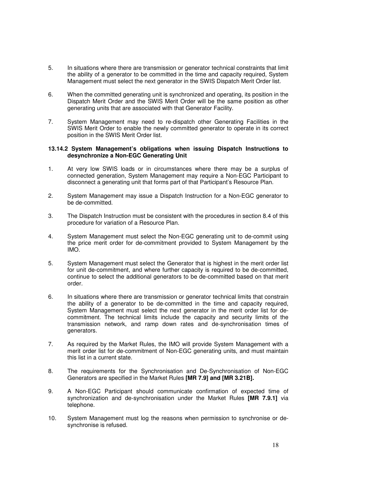- 5. In situations where there are transmission or generator technical constraints that limit the ability of a generator to be committed in the time and capacity required, System Management must select the next generator in the SWIS Dispatch Merit Order list.
- 6. When the committed generating unit is synchronized and operating, its position in the Dispatch Merit Order and the SWIS Merit Order will be the same position as other generating units that are associated with that Generator Facility.
- 7. System Management may need to re-dispatch other Generating Facilities in the SWIS Merit Order to enable the newly committed generator to operate in its correct position in the SWIS Merit Order list.

#### **13.14.2 System Management's obligations when issuing Dispatch Instructions to desynchronize a Non-EGC Generating Unit**

- 1. At very low SWIS loads or in circumstances where there may be a surplus of connected generation, System Management may require a Non-EGC Participant to disconnect a generating unit that forms part of that Participant's Resource Plan.
- 2. System Management may issue a Dispatch Instruction for a Non-EGC generator to be de-committed.
- 3. The Dispatch Instruction must be consistent with the procedures in section 8.4 of this procedure for variation of a Resource Plan.
- 4. System Management must select the Non-EGC generating unit to de-commit using the price merit order for de-commitment provided to System Management by the IMO.
- 5. System Management must select the Generator that is highest in the merit order list for unit de-commitment, and where further capacity is required to be de-committed, continue to select the additional generators to be de-committed based on that merit order.
- 6. In situations where there are transmission or generator technical limits that constrain the ability of a generator to be de-committed in the time and capacity required, System Management must select the next generator in the merit order list for decommitment. The technical limits include the capacity and security limits of the transmission network, and ramp down rates and de-synchronisation times of generators.
- 7. As required by the Market Rules, the IMO will provide System Management with a merit order list for de-commitment of Non-EGC generating units, and must maintain this list in a current state.
- 8. The requirements for the Synchronisation and De-Synchronisation of Non-EGC Generators are specified in the Market Rules **[MR 7.9] and [MR 3.21B].**
- 9. A Non-EGC Participant should communicate confirmation of expected time of synchronization and de-synchronisation under the Market Rules **[MR 7.9.1]** via telephone.
- 10. System Management must log the reasons when permission to synchronise or desynchronise is refused.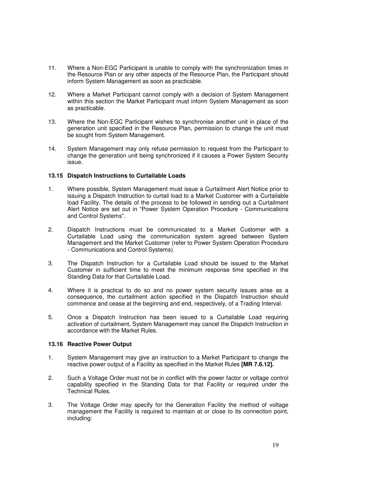- 11. Where a Non-EGC Participant is unable to comply with the synchronization times in the Resource Plan or any other aspects of the Resource Plan, the Participant should inform System Management as soon as practicable.
- 12. Where a Market Participant cannot comply with a decision of System Management within this section the Market Participant must inform System Management as soon as practicable.
- 13. Where the Non-EGC Participant wishes to synchronise another unit in place of the generation unit specified in the Resource Plan, permission to change the unit must be sought from System Management.
- 14. System Management may only refuse permission to request from the Participant to change the generation unit being synchronized if it causes a Power System Security issue.

#### **13.15 Dispatch Instructions to Curtailable Loads**

- 1. Where possible, System Management must issue a Curtailment Alert Notice prior to issuing a Dispatch Instruction to curtail load to a Market Customer with a Curtailable load Facility. The details of the process to be followed in sending out a Curtailment Alert Notice are set out in "Power System Operation Procedure - Communications and Control Systems".
- 2. Dispatch Instructions must be communicated to a Market Customer with a Curtailable Load using the communication system agreed between System Management and the Market Customer (refer to Power System Operation Procedure - Communications and Control Systems).
- 3. The Dispatch Instruction for a Curtailable Load should be issued to the Market Customer in sufficient time to meet the minimum response time specified in the Standing Data for that Curtailable Load.
- 4. Where it is practical to do so and no power system security issues arise as a consequence, the curtailment action specified in the Dispatch Instruction should commence and cease at the beginning and end, respectively, of a Trading Interval.
- 5. Once a Dispatch Instruction has been issued to a Curtailable Load requiring activation of curtailment, System Management may cancel the Dispatch Instruction in accordance with the Market Rules.

#### **13.16 Reactive Power Output**

- 1. System Management may give an instruction to a Market Participant to change the reactive power output of a Facility as specified in the Market Rules **[MR 7.6.12].**
- 2. Such a Voltage Order must not be in conflict with the power factor or voltage control capability specified in the Standing Data for that Facility or required under the Technical Rules.
- 3. The Voltage Order may specify for the Generation Facility the method of voltage management the Facility is required to maintain at or close to its connection point, including: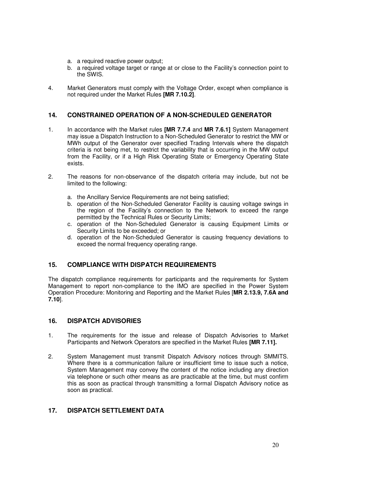- a. a required reactive power output;
- b. a required voltage target or range at or close to the Facility's connection point to the SWIS.
- 4. Market Generators must comply with the Voltage Order, except when compliance is not required under the Market Rules **[MR 7.10.2]**.

# **14. CONSTRAINED OPERATION OF A NON-SCHEDULED GENERATOR**

- 1. In accordance with the Market rules **[MR 7.7.4** and **MR 7.6.1]** System Management may issue a Dispatch Instruction to a Non-Scheduled Generator to restrict the MW or MWh output of the Generator over specified Trading Intervals where the dispatch criteria is not being met, to restrict the variability that is occurring in the MW output from the Facility, or if a High Risk Operating State or Emergency Operating State exists.
- 2. The reasons for non-observance of the dispatch criteria may include, but not be limited to the following:
	- a. the Ancillary Service Requirements are not being satisfied;
	- b. operation of the Non-Scheduled Generator Facility is causing voltage swings in the region of the Facility's connection to the Network to exceed the range permitted by the Technical Rules or Security Limits;
	- c. operation of the Non-Scheduled Generator is causing Equipment Limits or Security Limits to be exceeded; or
	- d. operation of the Non-Scheduled Generator is causing frequency deviations to exceed the normal frequency operating range.

# **15. COMPLIANCE WITH DISPATCH REQUIREMENTS**

The dispatch compliance requirements for participants and the requirements for System Management to report non-compliance to the IMO are specified in the Power System Operation Procedure: Monitoring and Reporting and the Market Rules [**MR 2.13.9, 7.6A and 7.10**].

#### **16. DISPATCH ADVISORIES**

- 1. The requirements for the issue and release of Dispatch Advisories to Market Participants and Network Operators are specified in the Market Rules **[MR 7.11].**
- 2. System Management must transmit Dispatch Advisory notices through SMMITS. Where there is a communication failure or insufficient time to issue such a notice, System Management may convey the content of the notice including any direction via telephone or such other means as are practicable at the time, but must confirm this as soon as practical through transmitting a formal Dispatch Advisory notice as soon as practical.

#### **17. DISPATCH SETTLEMENT DATA**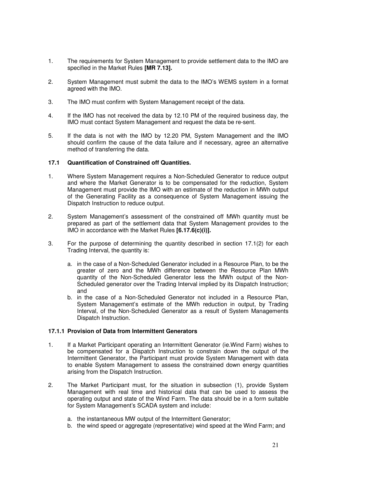- 1. The requirements for System Management to provide settlement data to the IMO are specified in the Market Rules **[MR 7.13].**
- 2. System Management must submit the data to the IMO's WEMS system in a format agreed with the IMO.
- 3. The IMO must confirm with System Management receipt of the data.
- 4. If the IMO has not received the data by 12.10 PM of the required business day, the IMO must contact System Management and request the data be re-sent.
- 5. If the data is not with the IMO by 12.20 PM, System Management and the IMO should confirm the cause of the data failure and if necessary, agree an alternative method of transferring the data.

#### **17.1 Quantification of Constrained off Quantities.**

- 1. Where System Management requires a Non-Scheduled Generator to reduce output and where the Market Generator is to be compensated for the reduction, System Management must provide the IMO with an estimate of the reduction in MWh output of the Generating Facility as a consequence of System Management issuing the Dispatch Instruction to reduce output.
- 2. System Management's assessment of the constrained off MWh quantity must be prepared as part of the settlement data that System Management provides to the IMO in accordance with the Market Rules **[6.17.6(c)(i)].**
- 3. For the purpose of determining the quantity described in section 17.1(2) for each Trading Interval, the quantity is:
	- a. in the case of a Non-Scheduled Generator included in a Resource Plan, to be the greater of zero and the MWh difference between the Resource Plan MWh quantity of the Non-Scheduled Generator less the MWh output of the Non-Scheduled generator over the Trading Interval implied by its Dispatch Instruction; and
	- b. in the case of a Non-Scheduled Generator not included in a Resource Plan, System Management's estimate of the MWh reduction in output, by Trading Interval, of the Non-Scheduled Generator as a result of System Managements Dispatch Instruction.

#### **17.1.1 Provision of Data from Intermittent Generators**

- 1. If a Market Participant operating an Intermittent Generator (ie.Wind Farm) wishes to be compensated for a Dispatch Instruction to constrain down the output of the Intermittent Generator, the Participant must provide System Management with data to enable System Management to assess the constrained down energy quantities arising from the Dispatch Instruction.
- 2. The Market Participant must, for the situation in subsection (1), provide System Management with real time and historical data that can be used to assess the operating output and state of the Wind Farm. The data should be in a form suitable for System Management's SCADA system and include:
	- a. the instantaneous MW output of the Intermittent Generator;
	- b. the wind speed or aggregate (representative) wind speed at the Wind Farm; and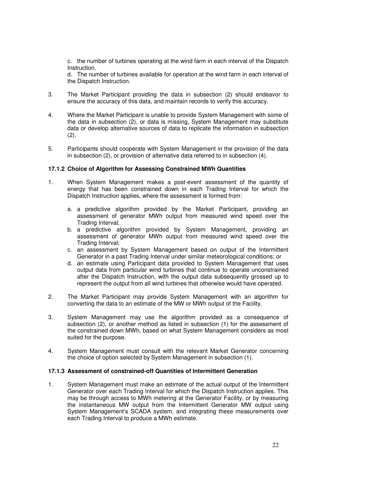c. the number of turbines operating at the wind farm in each interval of the Dispatch Instruction.

d. The number of turbines available for operation at the wind farm in each interval of the Dispatch Instruction.

- 3. The Market Participant providing the data in subsection (2) should endeavor to ensure the accuracy of this data, and maintain records to verify this accuracy.
- 4. Where the Market Participant is unable to provide System Management with some of the data in subsection (2), or data is missing, System Management may substitute data or develop alternative sources of data to replicate the information in subsection (2).
- 5. Participants should cooperate with System Management in the provision of the data in subsection (2), or provision of alternative data referred to in subsection (4).

#### **17.1.2 Choice of Algorithm for Assessing Constrained MWh Quantities**

- 1. When System Management makes a post-event assessment of the quantity of energy that has been constrained down in each Trading Interval for which the Dispatch Instruction applies, where the assessment is formed from:
	- a. a predictive algorithm provided by the Market Participant, providing an assessment of generator MWh output from measured wind speed over the Trading Interval;
	- b. a predictive algorithm provided by System Management, providing an assessment of generator MWh output from measured wind speed over the Trading Interval;
	- c. an assessment by System Management based on output of the Intermittent Generator in a past Trading Interval under similar meteorological conditions; or
	- d. an estimate using Participant data provided to System Management that uses output data from particular wind turbines that continue to operate unconstrained after the Dispatch Instruction, with the output data subsequently grossed up to represent the output from all wind turbines that otherwise would have operated.
- 2. The Market Participant may provide System Management with an algorithm for converting the data to an estimate of the MW or MWh output of the Facility.
- 3. System Management may use the algorithm provided as a consequence of subsection (2), or another method as listed in subsection (1) for the assessment of the constrained down MWh, based on what System Management considers as most suited for the purpose.
- 4. System Management must consult with the relevant Market Generator concerning the choice of option selected by System Management in subsection (1).

#### **17.1.3 Assessment of constrained-off Quantities of Intermittent Generation**

1. System Management must make an estimate of the actual output of the Intermittent Generator over each Trading Interval for which the Dispatch Instruction applies. This may be through access to MWh metering at the Generator Facility, or by measuring the instantaneous MW output from the Intermittent Generator MW output using System Management's SCADA system, and integrating these measurements over each Trading Interval to produce a MWh estimate.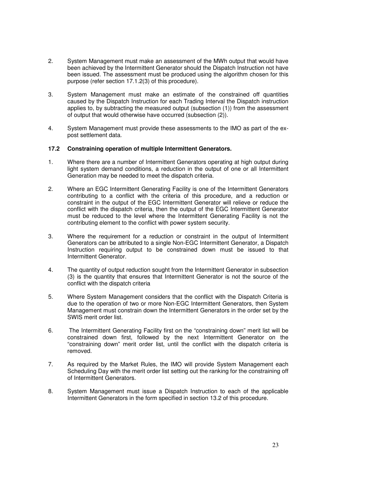- 2. System Management must make an assessment of the MWh output that would have been achieved by the Intermittent Generator should the Dispatch Instruction not have been issued. The assessment must be produced using the algorithm chosen for this purpose (refer section 17.1.2(3) of this procedure).
- 3. System Management must make an estimate of the constrained off quantities caused by the Dispatch Instruction for each Trading Interval the Dispatch instruction applies to, by subtracting the measured output (subsection (1)) from the assessment of output that would otherwise have occurred (subsection (2)).
- 4. System Management must provide these assessments to the IMO as part of the expost settlement data.

#### **17.2 Constraining operation of multiple Intermittent Generators.**

- 1. Where there are a number of Intermittent Generators operating at high output during light system demand conditions, a reduction in the output of one or all Intermittent Generation may be needed to meet the dispatch criteria.
- 2. Where an EGC Intermittent Generating Facility is one of the Intermittent Generators contributing to a conflict with the criteria of this procedure, and a reduction or constraint in the output of the EGC Intermittent Generator will relieve or reduce the conflict with the dispatch criteria, then the output of the EGC Intermittent Generator must be reduced to the level where the Intermittent Generating Facility is not the contributing element to the conflict with power system security.
- 3. Where the requirement for a reduction or constraint in the output of Intermittent Generators can be attributed to a single Non-EGC Intermittent Generator, a Dispatch Instruction requiring output to be constrained down must be issued to that Intermittent Generator.
- 4. The quantity of output reduction sought from the Intermittent Generator in subsection (3) is the quantity that ensures that Intermittent Generator is not the source of the conflict with the dispatch criteria
- 5. Where System Management considers that the conflict with the Dispatch Criteria is due to the operation of two or more Non-EGC Intermittent Generators, then System Management must constrain down the Intermittent Generators in the order set by the SWIS merit order list.
- 6. The Intermittent Generating Facility first on the "constraining down" merit list will be constrained down first, followed by the next Intermittent Generator on the "constraining down" merit order list, until the conflict with the dispatch criteria is removed.
- 7. As required by the Market Rules, the IMO will provide System Management each Scheduling Day with the merit order list setting out the ranking for the constraining off of Intermittent Generators.
- 8. System Management must issue a Dispatch Instruction to each of the applicable Intermittent Generators in the form specified in section 13.2 of this procedure.